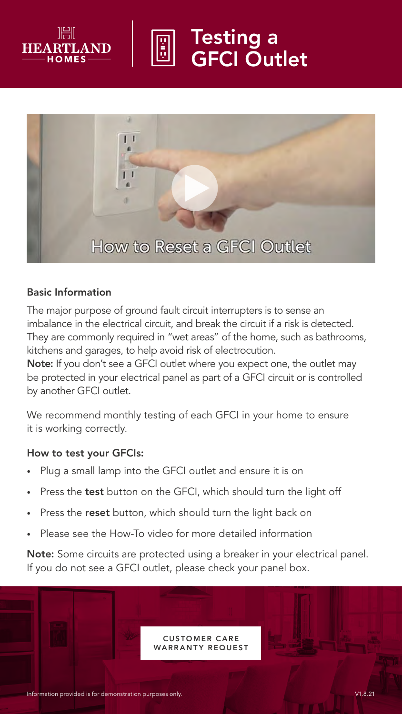

# Testing a GFCI Outlet



#### Basic Information

The major purpose of ground fault circuit interrupters is to sense an imbalance in the electrical circuit, and break the circuit if a risk is detected. They are commonly required in "wet areas" of the home, such as bathrooms, kitchens and garages, to help avoid risk of electrocution.

Note: If you don't see a GFCI outlet where you expect one, the outlet may be protected in your electrical panel as part of a GFCI circuit or is controlled by another GFCI outlet.

We recommend monthly testing of each GFCI in your home to ensure it is working correctly.

#### How to test your GFCIs:

- Plug a small lamp into the GFCI outlet and ensure it is on
- Press the test button on the GFCI, which should turn the light off
- Press the reset button, which should turn the light back on
- Please see the How-To video for more detailed information

Note: Some circuits are protected using a breaker in your electrical panel. If you do not see a GFCI outlet, please check your panel box.

> **CUSTOMER CARE** WARRANTY REQUEST